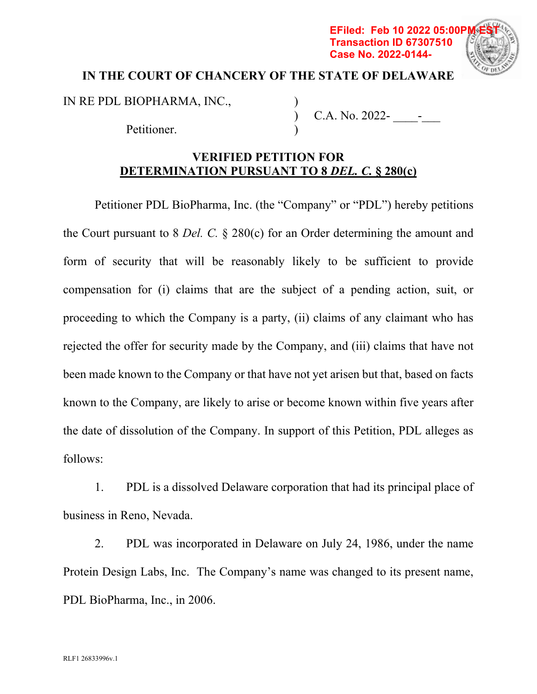## **EFiled: Feb 10 2022 05:00P Transaction ID 67307510 Case No. 2022-0144-**



## **IN THE COURT OF CHANCERY OF THE STATE OF DELAWARE**

IN RE PDL BIOPHARMA, INC.,

Petitioner.

C.A. No. 2022- \_\_\_\_-\_\_\_

## **VERIFIED PETITION FOR DETERMINATION PURSUANT TO 8** *DEL. C.* **§ 280(c)**

 $\mathcal{L}$ )  $\mathcal{L}$ 

Petitioner PDL BioPharma, Inc. (the "Company" or "PDL") hereby petitions the Court pursuant to 8 *Del. C.* § 280(c) for an Order determining the amount and form of security that will be reasonably likely to be sufficient to provide compensation for (i) claims that are the subject of a pending action, suit, or proceeding to which the Company is a party, (ii) claims of any claimant who has rejected the offer for security made by the Company, and (iii) claims that have not been made known to the Company or that have not yet arisen but that, based on facts known to the Company, are likely to arise or become known within five years after the date of dissolution of the Company. In support of this Petition, PDL alleges as follows:

1. PDL is a dissolved Delaware corporation that had its principal place of business in Reno, Nevada.

2. PDL was incorporated in Delaware on July 24, 1986, under the name Protein Design Labs, Inc. The Company's name was changed to its present name, PDL BioPharma, Inc., in 2006.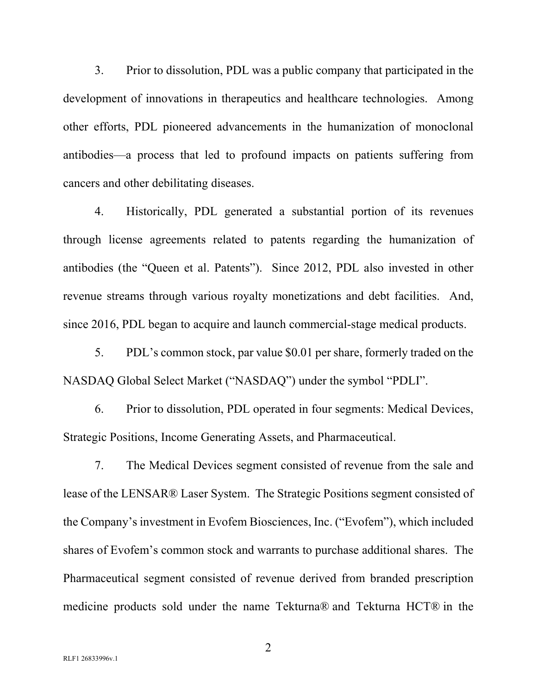3. Prior to dissolution, PDL was a public company that participated in the development of innovations in therapeutics and healthcare technologies. Among other efforts, PDL pioneered advancements in the humanization of monoclonal antibodies—a process that led to profound impacts on patients suffering from cancers and other debilitating diseases.

4. Historically, PDL generated a substantial portion of its revenues through license agreements related to patents regarding the humanization of antibodies (the "Queen et al. Patents"). Since 2012, PDL also invested in other revenue streams through various royalty monetizations and debt facilities. And, since 2016, PDL began to acquire and launch commercial-stage medical products.

5. PDL's common stock, par value \$0.01 per share, formerly traded on the NASDAQ Global Select Market ("NASDAQ") under the symbol "PDLI".

6. Prior to dissolution, PDL operated in four segments: Medical Devices, Strategic Positions, Income Generating Assets, and Pharmaceutical.

7. The Medical Devices segment consisted of revenue from the sale and lease of the LENSAR® Laser System. The Strategic Positions segment consisted of the Company's investment in Evofem Biosciences, Inc. ("Evofem"), which included shares of Evofem's common stock and warrants to purchase additional shares. The Pharmaceutical segment consisted of revenue derived from branded prescription medicine products sold under the name Tekturna® and Tekturna HCT® in the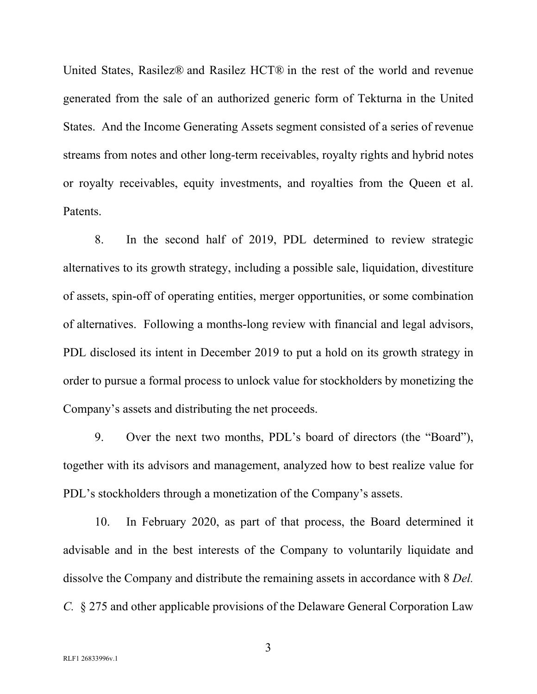United States, Rasilez® and Rasilez HCT® in the rest of the world and revenue generated from the sale of an authorized generic form of Tekturna in the United States. And the Income Generating Assets segment consisted of a series of revenue streams from notes and other long-term receivables, royalty rights and hybrid notes or royalty receivables, equity investments, and royalties from the Queen et al. Patents.

8. In the second half of 2019, PDL determined to review strategic alternatives to its growth strategy, including a possible sale, liquidation, divestiture of assets, spin-off of operating entities, merger opportunities, or some combination of alternatives. Following a months-long review with financial and legal advisors, PDL disclosed its intent in December 2019 to put a hold on its growth strategy in order to pursue a formal process to unlock value for stockholders by monetizing the Company's assets and distributing the net proceeds.

9. Over the next two months, PDL's board of directors (the "Board"), together with its advisors and management, analyzed how to best realize value for PDL's stockholders through a monetization of the Company's assets.

10. In February 2020, as part of that process, the Board determined it advisable and in the best interests of the Company to voluntarily liquidate and dissolve the Company and distribute the remaining assets in accordance with 8 *Del. C.* § 275 and other applicable provisions of the Delaware General Corporation Law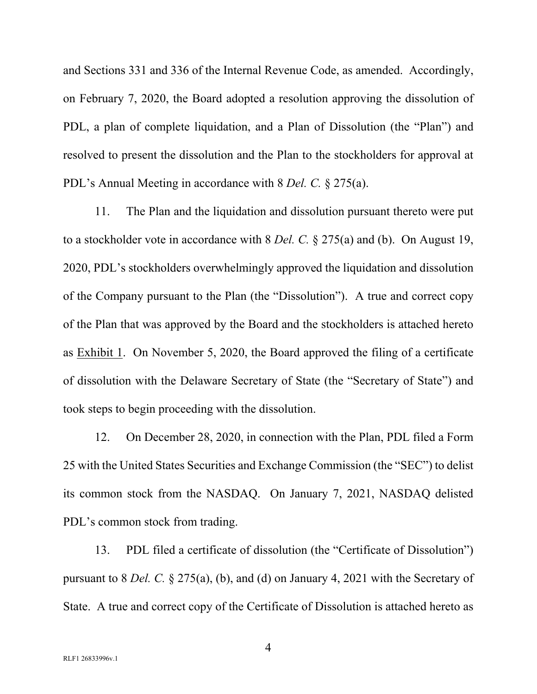and Sections 331 and 336 of the Internal Revenue Code, as amended. Accordingly, on February 7, 2020, the Board adopted a resolution approving the dissolution of PDL, a plan of complete liquidation, and a Plan of Dissolution (the "Plan") and resolved to present the dissolution and the Plan to the stockholders for approval at PDL's Annual Meeting in accordance with 8 *Del. C.* § 275(a).

11. The Plan and the liquidation and dissolution pursuant thereto were put to a stockholder vote in accordance with 8 *Del. C.* § 275(a) and (b). On August 19, 2020, PDL's stockholders overwhelmingly approved the liquidation and dissolution of the Company pursuant to the Plan (the "Dissolution"). A true and correct copy of the Plan that was approved by the Board and the stockholders is attached hereto as Exhibit 1. On November 5, 2020, the Board approved the filing of a certificate of dissolution with the Delaware Secretary of State (the "Secretary of State") and took steps to begin proceeding with the dissolution.

12. On December 28, 2020, in connection with the Plan, PDL filed a Form 25 with the United States Securities and Exchange Commission (the "SEC") to delist its common stock from the NASDAQ. On January 7, 2021, NASDAQ delisted PDL's common stock from trading.

13. PDL filed a certificate of dissolution (the "Certificate of Dissolution") pursuant to 8 *Del. C.* § 275(a), (b), and (d) on January 4, 2021 with the Secretary of State. A true and correct copy of the Certificate of Dissolution is attached hereto as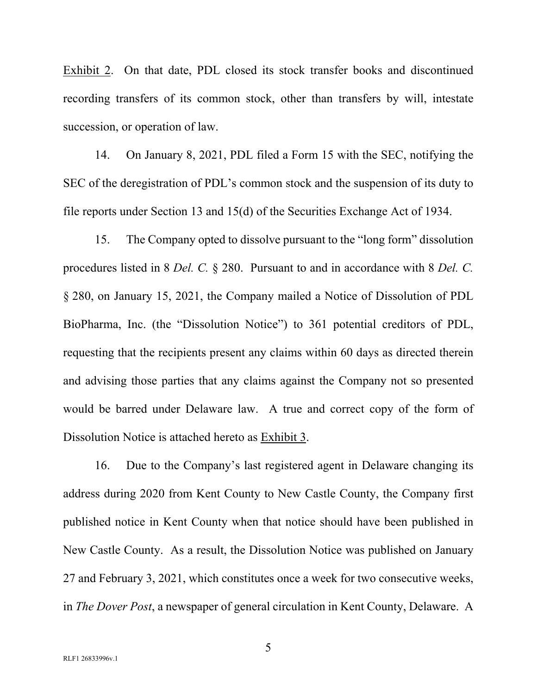Exhibit 2. On that date, PDL closed its stock transfer books and discontinued recording transfers of its common stock, other than transfers by will, intestate succession, or operation of law.

14. On January 8, 2021, PDL filed a Form 15 with the SEC, notifying the SEC of the deregistration of PDL's common stock and the suspension of its duty to file reports under Section 13 and 15(d) of the Securities Exchange Act of 1934.

15. The Company opted to dissolve pursuant to the "long form" dissolution procedures listed in 8 *Del. C.* § 280. Pursuant to and in accordance with 8 *Del. C.* § 280, on January 15, 2021, the Company mailed a Notice of Dissolution of PDL BioPharma, Inc. (the "Dissolution Notice") to 361 potential creditors of PDL, requesting that the recipients present any claims within 60 days as directed therein and advising those parties that any claims against the Company not so presented would be barred under Delaware law. A true and correct copy of the form of Dissolution Notice is attached hereto as Exhibit 3.

16. Due to the Company's last registered agent in Delaware changing its address during 2020 from Kent County to New Castle County, the Company first published notice in Kent County when that notice should have been published in New Castle County. As a result, the Dissolution Notice was published on January 27 and February 3, 2021, which constitutes once a week for two consecutive weeks, in *The Dover Post*, a newspaper of general circulation in Kent County, Delaware. A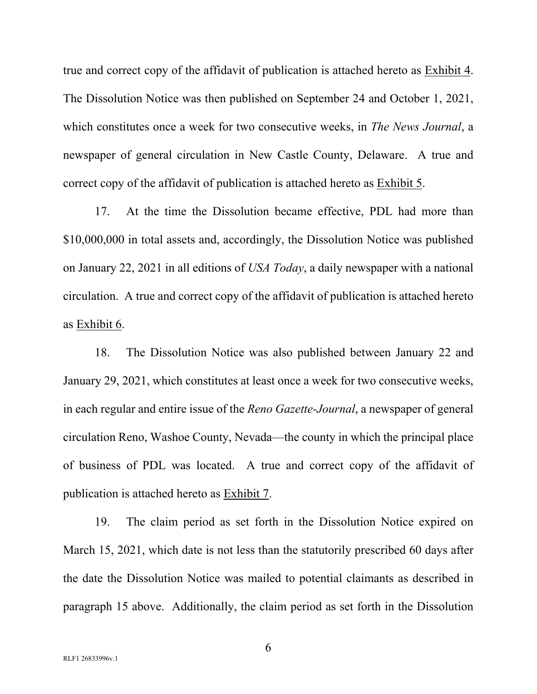true and correct copy of the affidavit of publication is attached hereto as Exhibit 4. The Dissolution Notice was then published on September 24 and October 1, 2021, which constitutes once a week for two consecutive weeks, in *The News Journal*, a newspaper of general circulation in New Castle County, Delaware. A true and correct copy of the affidavit of publication is attached hereto as Exhibit 5.

17. At the time the Dissolution became effective, PDL had more than \$10,000,000 in total assets and, accordingly, the Dissolution Notice was published on January 22, 2021 in all editions of *USA Today*, a daily newspaper with a national circulation. A true and correct copy of the affidavit of publication is attached hereto as Exhibit 6.

18. The Dissolution Notice was also published between January 22 and January 29, 2021, which constitutes at least once a week for two consecutive weeks, in each regular and entire issue of the *Reno Gazette-Journal*, a newspaper of general circulation Reno, Washoe County, Nevada—the county in which the principal place of business of PDL was located. A true and correct copy of the affidavit of publication is attached hereto as Exhibit 7.

19. The claim period as set forth in the Dissolution Notice expired on March 15, 2021, which date is not less than the statutorily prescribed 60 days after the date the Dissolution Notice was mailed to potential claimants as described in paragraph 15 above. Additionally, the claim period as set forth in the Dissolution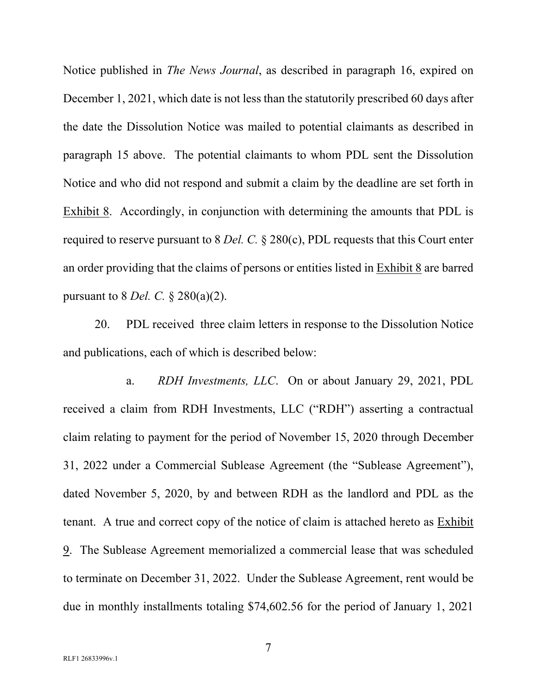Notice published in *The News Journal*, as described in paragraph 16, expired on December 1, 2021, which date is not less than the statutorily prescribed 60 days after the date the Dissolution Notice was mailed to potential claimants as described in paragraph 15 above. The potential claimants to whom PDL sent the Dissolution Notice and who did not respond and submit a claim by the deadline are set forth in Exhibit 8. Accordingly, in conjunction with determining the amounts that PDL is required to reserve pursuant to 8 *Del. C.* § 280(c), PDL requests that this Court enter an order providing that the claims of persons or entities listed in Exhibit 8 are barred pursuant to 8 *Del. C.* § 280(a)(2).

20. PDL received three claim letters in response to the Dissolution Notice and publications, each of which is described below:

a. *RDH Investments, LLC*. On or about January 29, 2021, PDL received a claim from RDH Investments, LLC ("RDH") asserting a contractual claim relating to payment for the period of November 15, 2020 through December 31, 2022 under a Commercial Sublease Agreement (the "Sublease Agreement"), dated November 5, 2020, by and between RDH as the landlord and PDL as the tenant. A true and correct copy of the notice of claim is attached hereto as Exhibit 9. The Sublease Agreement memorialized a commercial lease that was scheduled to terminate on December 31, 2022. Under the Sublease Agreement, rent would be due in monthly installments totaling \$74,602.56 for the period of January 1, 2021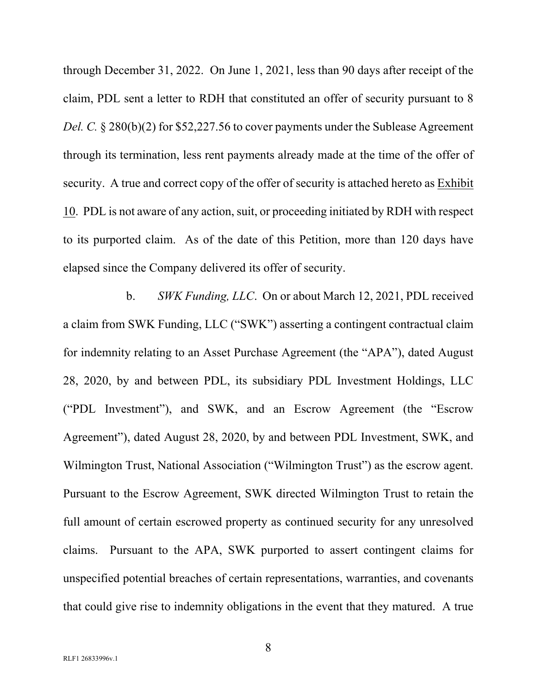through December 31, 2022. On June 1, 2021, less than 90 days after receipt of the claim, PDL sent a letter to RDH that constituted an offer of security pursuant to 8 *Del. C.* § 280(b)(2) for \$52,227.56 to cover payments under the Sublease Agreement through its termination, less rent payments already made at the time of the offer of security. A true and correct copy of the offer of security is attached hereto as Exhibit 10. PDL is not aware of any action, suit, or proceeding initiated by RDH with respect to its purported claim. As of the date of this Petition, more than 120 days have elapsed since the Company delivered its offer of security.

b. *SWK Funding, LLC*. On or about March 12, 2021, PDL received a claim from SWK Funding, LLC ("SWK") asserting a contingent contractual claim for indemnity relating to an Asset Purchase Agreement (the "APA"), dated August 28, 2020, by and between PDL, its subsidiary PDL Investment Holdings, LLC ("PDL Investment"), and SWK, and an Escrow Agreement (the "Escrow Agreement"), dated August 28, 2020, by and between PDL Investment, SWK, and Wilmington Trust, National Association ("Wilmington Trust") as the escrow agent. Pursuant to the Escrow Agreement, SWK directed Wilmington Trust to retain the full amount of certain escrowed property as continued security for any unresolved claims. Pursuant to the APA, SWK purported to assert contingent claims for unspecified potential breaches of certain representations, warranties, and covenants that could give rise to indemnity obligations in the event that they matured. A true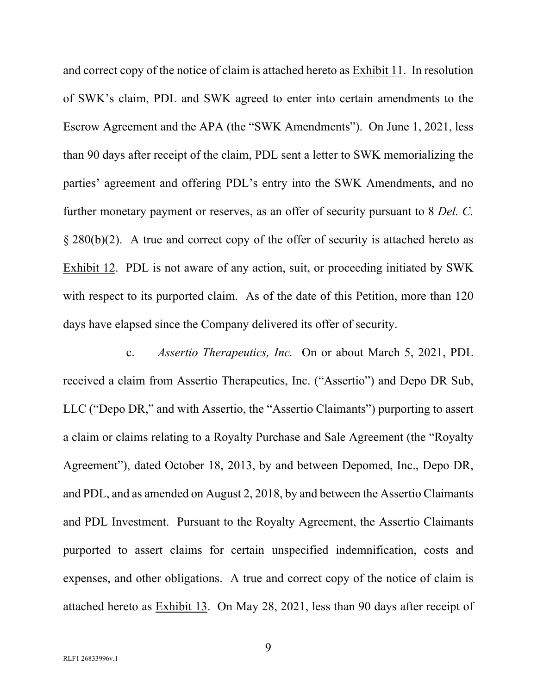and correct copy of the notice of claim is attached hereto as Exhibit 11. In resolution of SWK's claim, PDL and SWK agreed to enter into certain amendments to the Escrow Agreement and the APA (the "SWK Amendments"). On June 1, 2021, less than 90 days after receipt of the claim, PDL sent a letter to SWK memorializing the parties' agreement and offering PDL's entry into the SWK Amendments, and no further monetary payment or reserves, as an offer of security pursuant to 8 *Del. C.*  $\S 280(b)(2)$ . A true and correct copy of the offer of security is attached hereto as Exhibit 12. PDL is not aware of any action, suit, or proceeding initiated by SWK with respect to its purported claim. As of the date of this Petition, more than 120 days have elapsed since the Company delivered its offer of security.

c. *Assertio Therapeutics, Inc.* On or about March 5, 2021, PDL received a claim from Assertio Therapeutics, Inc. ("Assertio") and Depo DR Sub, LLC ("Depo DR," and with Assertio, the "Assertio Claimants") purporting to assert a claim or claims relating to a Royalty Purchase and Sale Agreement (the "Royalty Agreement"), dated October 18, 2013, by and between Depomed, Inc., Depo DR, and PDL, and as amended on August 2, 2018, by and between the Assertio Claimants and PDL Investment. Pursuant to the Royalty Agreement, the Assertio Claimants purported to assert claims for certain unspecified indemnification, costs and expenses, and other obligations. A true and correct copy of the notice of claim is attached hereto as Exhibit 13. On May 28, 2021, less than 90 days after receipt of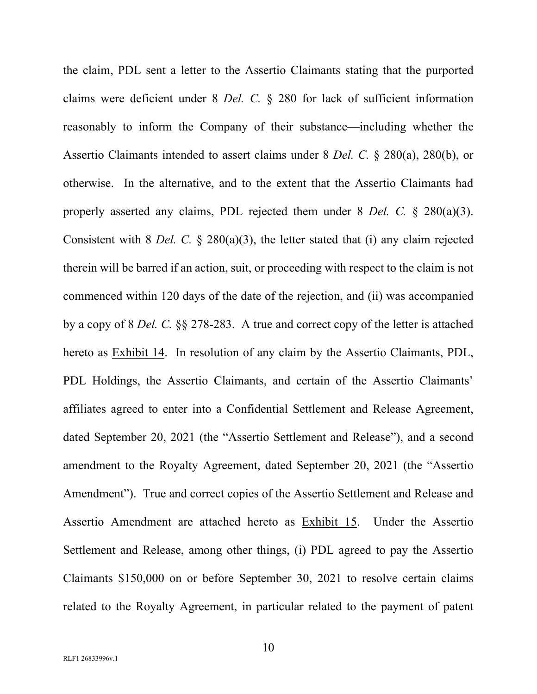the claim, PDL sent a letter to the Assertio Claimants stating that the purported claims were deficient under 8 *Del. C.* § 280 for lack of sufficient information reasonably to inform the Company of their substance—including whether the Assertio Claimants intended to assert claims under 8 *Del. C.* § 280(a), 280(b), or otherwise. In the alternative, and to the extent that the Assertio Claimants had properly asserted any claims, PDL rejected them under 8 *Del. C.* § 280(a)(3). Consistent with 8 *Del. C.* § 280(a)(3), the letter stated that (i) any claim rejected therein will be barred if an action, suit, or proceeding with respect to the claim is not commenced within 120 days of the date of the rejection, and (ii) was accompanied by a copy of 8 *Del. C.* §§ 278-283. A true and correct copy of the letter is attached hereto as Exhibit 14. In resolution of any claim by the Assertio Claimants, PDL, PDL Holdings, the Assertio Claimants, and certain of the Assertio Claimants' affiliates agreed to enter into a Confidential Settlement and Release Agreement, dated September 20, 2021 (the "Assertio Settlement and Release"), and a second amendment to the Royalty Agreement, dated September 20, 2021 (the "Assertio Amendment"). True and correct copies of the Assertio Settlement and Release and Assertio Amendment are attached hereto as Exhibit 15. Under the Assertio Settlement and Release, among other things, (i) PDL agreed to pay the Assertio Claimants \$150,000 on or before September 30, 2021 to resolve certain claims related to the Royalty Agreement, in particular related to the payment of patent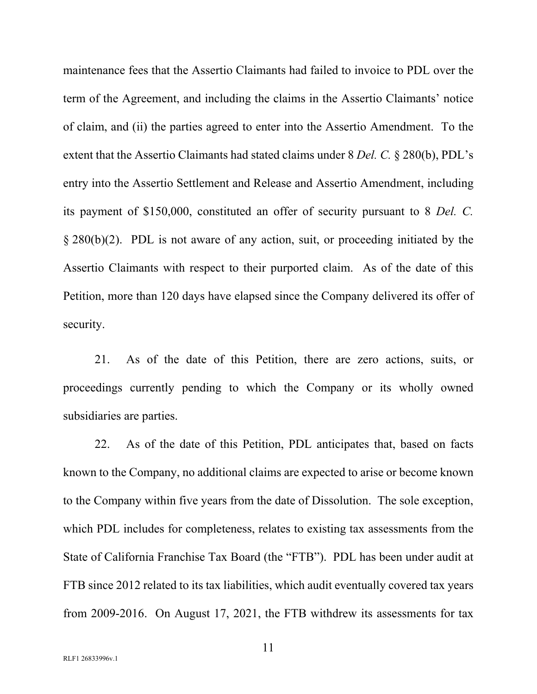maintenance fees that the Assertio Claimants had failed to invoice to PDL over the term of the Agreement, and including the claims in the Assertio Claimants' notice of claim, and (ii) the parties agreed to enter into the Assertio Amendment. To the extent that the Assertio Claimants had stated claims under 8 *Del. C.* § 280(b), PDL's entry into the Assertio Settlement and Release and Assertio Amendment, including its payment of \$150,000, constituted an offer of security pursuant to 8 *Del. C.* § 280(b)(2). PDL is not aware of any action, suit, or proceeding initiated by the Assertio Claimants with respect to their purported claim. As of the date of this Petition, more than 120 days have elapsed since the Company delivered its offer of security.

21. As of the date of this Petition, there are zero actions, suits, or proceedings currently pending to which the Company or its wholly owned subsidiaries are parties.

22. As of the date of this Petition, PDL anticipates that, based on facts known to the Company, no additional claims are expected to arise or become known to the Company within five years from the date of Dissolution. The sole exception, which PDL includes for completeness, relates to existing tax assessments from the State of California Franchise Tax Board (the "FTB"). PDL has been under audit at FTB since 2012 related to its tax liabilities, which audit eventually covered tax years from 2009-2016. On August 17, 2021, the FTB withdrew its assessments for tax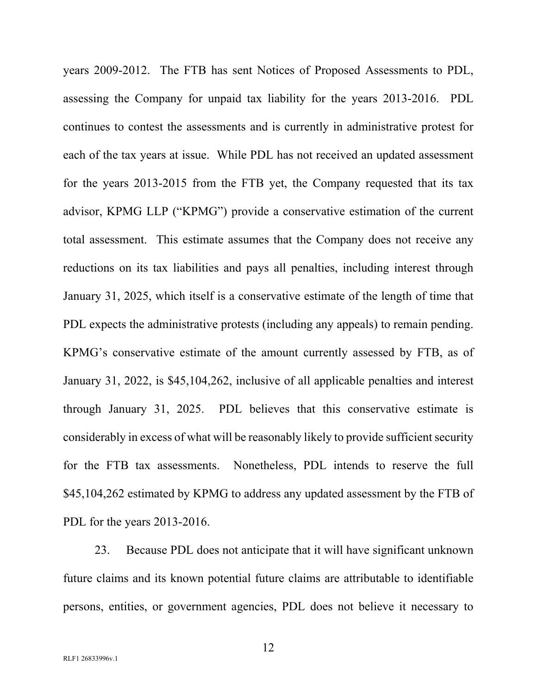years 2009-2012. The FTB has sent Notices of Proposed Assessments to PDL, assessing the Company for unpaid tax liability for the years 2013-2016. PDL continues to contest the assessments and is currently in administrative protest for each of the tax years at issue. While PDL has not received an updated assessment for the years 2013-2015 from the FTB yet, the Company requested that its tax advisor, KPMG LLP ("KPMG") provide a conservative estimation of the current total assessment. This estimate assumes that the Company does not receive any reductions on its tax liabilities and pays all penalties, including interest through January 31, 2025, which itself is a conservative estimate of the length of time that PDL expects the administrative protests (including any appeals) to remain pending. KPMG's conservative estimate of the amount currently assessed by FTB, as of January 31, 2022, is \$45,104,262, inclusive of all applicable penalties and interest through January 31, 2025. PDL believes that this conservative estimate is considerably in excess of what will be reasonably likely to provide sufficient security for the FTB tax assessments. Nonetheless, PDL intends to reserve the full \$45,104,262 estimated by KPMG to address any updated assessment by the FTB of PDL for the years 2013-2016.

23. Because PDL does not anticipate that it will have significant unknown future claims and its known potential future claims are attributable to identifiable persons, entities, or government agencies, PDL does not believe it necessary to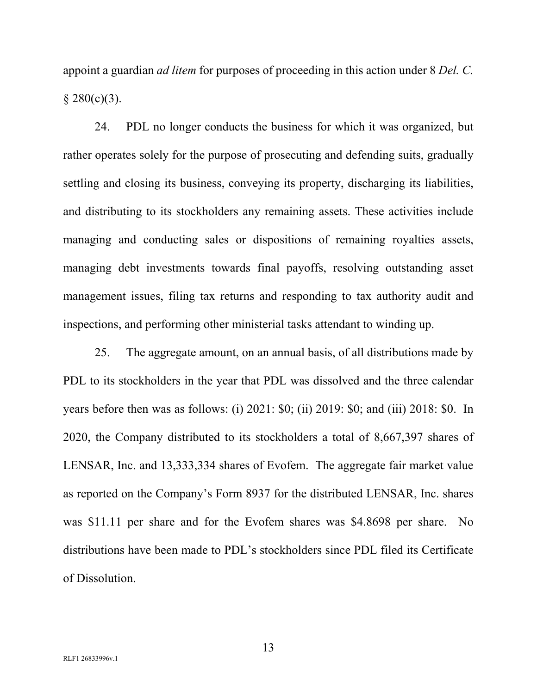appoint a guardian *ad litem* for purposes of proceeding in this action under 8 *Del. C.*   $§ 280(c)(3).$ 

24. PDL no longer conducts the business for which it was organized, but rather operates solely for the purpose of prosecuting and defending suits, gradually settling and closing its business, conveying its property, discharging its liabilities, and distributing to its stockholders any remaining assets. These activities include managing and conducting sales or dispositions of remaining royalties assets, managing debt investments towards final payoffs, resolving outstanding asset management issues, filing tax returns and responding to tax authority audit and inspections, and performing other ministerial tasks attendant to winding up.

25. The aggregate amount, on an annual basis, of all distributions made by PDL to its stockholders in the year that PDL was dissolved and the three calendar years before then was as follows: (i) 2021: \$0; (ii) 2019: \$0; and (iii) 2018: \$0. In 2020, the Company distributed to its stockholders a total of 8,667,397 shares of LENSAR, Inc. and 13,333,334 shares of Evofem. The aggregate fair market value as reported on the Company's Form 8937 for the distributed LENSAR, Inc. shares was \$11.11 per share and for the Evofem shares was \$4.8698 per share. No distributions have been made to PDL's stockholders since PDL filed its Certificate of Dissolution.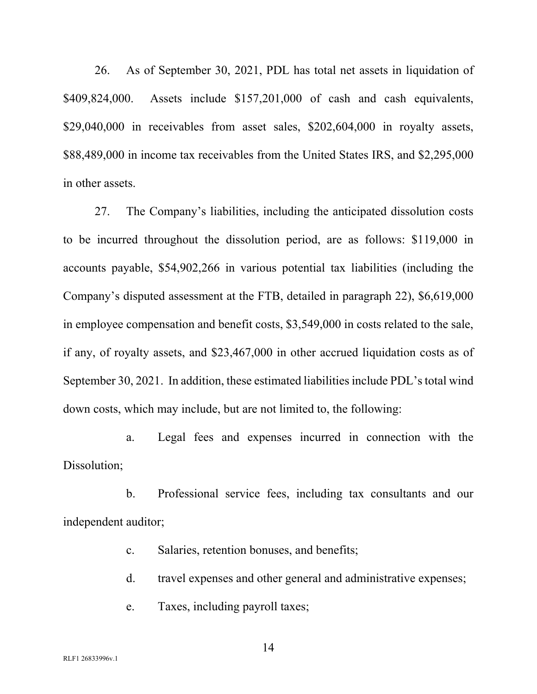26. As of September 30, 2021, PDL has total net assets in liquidation of \$409,824,000. Assets include \$157,201,000 of cash and cash equivalents, \$29,040,000 in receivables from asset sales, \$202,604,000 in royalty assets, \$88,489,000 in income tax receivables from the United States IRS, and \$2,295,000 in other assets.

27. The Company's liabilities, including the anticipated dissolution costs to be incurred throughout the dissolution period, are as follows: \$119,000 in accounts payable, \$54,902,266 in various potential tax liabilities (including the Company's disputed assessment at the FTB, detailed in paragraph 22), \$6,619,000 in employee compensation and benefit costs, \$3,549,000 in costs related to the sale, if any, of royalty assets, and \$23,467,000 in other accrued liquidation costs as of September 30, 2021. In addition, these estimated liabilities include PDL's total wind down costs, which may include, but are not limited to, the following:

a. Legal fees and expenses incurred in connection with the Dissolution;

b. Professional service fees, including tax consultants and our independent auditor;

- c. Salaries, retention bonuses, and benefits;
- d. travel expenses and other general and administrative expenses;
- e. Taxes, including payroll taxes;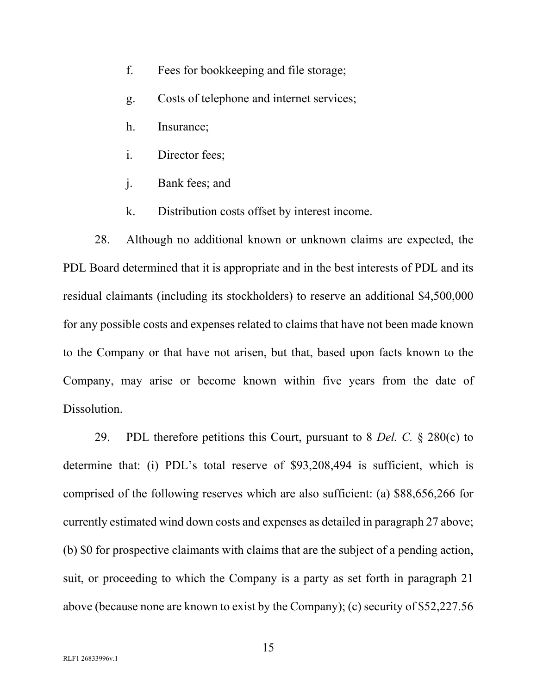- f. Fees for bookkeeping and file storage;
- g. Costs of telephone and internet services;
- h. Insurance;
- i. Director fees;
- j. Bank fees; and
- k. Distribution costs offset by interest income.

28. Although no additional known or unknown claims are expected, the PDL Board determined that it is appropriate and in the best interests of PDL and its residual claimants (including its stockholders) to reserve an additional \$4,500,000 for any possible costs and expenses related to claims that have not been made known to the Company or that have not arisen, but that, based upon facts known to the Company, may arise or become known within five years from the date of Dissolution.

29. PDL therefore petitions this Court, pursuant to 8 *Del. C.* § 280(c) to determine that: (i) PDL's total reserve of \$93,208,494 is sufficient, which is comprised of the following reserves which are also sufficient: (a) \$88,656,266 for currently estimated wind down costs and expenses as detailed in paragraph 27 above; (b) \$0 for prospective claimants with claims that are the subject of a pending action, suit, or proceeding to which the Company is a party as set forth in paragraph 21 above (because none are known to exist by the Company); (c) security of \$52,227.56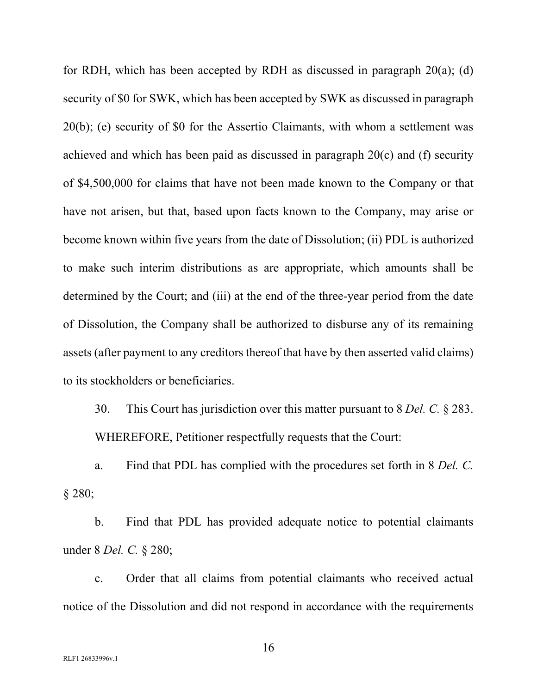for RDH, which has been accepted by RDH as discussed in paragraph 20(a); (d) security of \$0 for SWK, which has been accepted by SWK as discussed in paragraph 20(b); (e) security of \$0 for the Assertio Claimants, with whom a settlement was achieved and which has been paid as discussed in paragraph 20(c) and (f) security of \$4,500,000 for claims that have not been made known to the Company or that have not arisen, but that, based upon facts known to the Company, may arise or become known within five years from the date of Dissolution; (ii) PDL is authorized to make such interim distributions as are appropriate, which amounts shall be determined by the Court; and (iii) at the end of the three-year period from the date of Dissolution, the Company shall be authorized to disburse any of its remaining assets (after payment to any creditors thereof that have by then asserted valid claims) to its stockholders or beneficiaries.

30. This Court has jurisdiction over this matter pursuant to 8 *Del. C.* § 283. WHEREFORE, Petitioner respectfully requests that the Court:

a. Find that PDL has complied with the procedures set forth in 8 *Del. C.* § 280;

b. Find that PDL has provided adequate notice to potential claimants under 8 *Del. C.* § 280;

c. Order that all claims from potential claimants who received actual notice of the Dissolution and did not respond in accordance with the requirements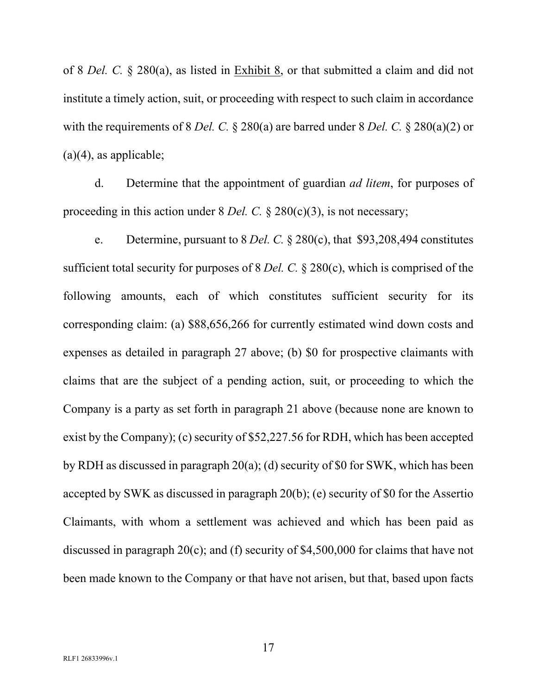of 8 *Del. C.* § 280(a), as listed in Exhibit 8, or that submitted a claim and did not institute a timely action, suit, or proceeding with respect to such claim in accordance with the requirements of 8 *Del. C.* § 280(a) are barred under 8 *Del. C.* § 280(a)(2) or  $(a)(4)$ , as applicable;

d. Determine that the appointment of guardian *ad litem*, for purposes of proceeding in this action under 8 *Del. C.* § 280(c)(3), is not necessary;

e. Determine, pursuant to 8 *Del. C.* § 280(c), that \$93,208,494 constitutes sufficient total security for purposes of 8 *Del. C.* § 280(c), which is comprised of the following amounts, each of which constitutes sufficient security for its corresponding claim: (a) \$88,656,266 for currently estimated wind down costs and expenses as detailed in paragraph 27 above; (b) \$0 for prospective claimants with claims that are the subject of a pending action, suit, or proceeding to which the Company is a party as set forth in paragraph 21 above (because none are known to exist by the Company); (c) security of \$52,227.56 for RDH, which has been accepted by RDH as discussed in paragraph 20(a); (d) security of \$0 for SWK, which has been accepted by SWK as discussed in paragraph 20(b); (e) security of \$0 for the Assertio Claimants, with whom a settlement was achieved and which has been paid as discussed in paragraph 20(c); and (f) security of \$4,500,000 for claims that have not been made known to the Company or that have not arisen, but that, based upon facts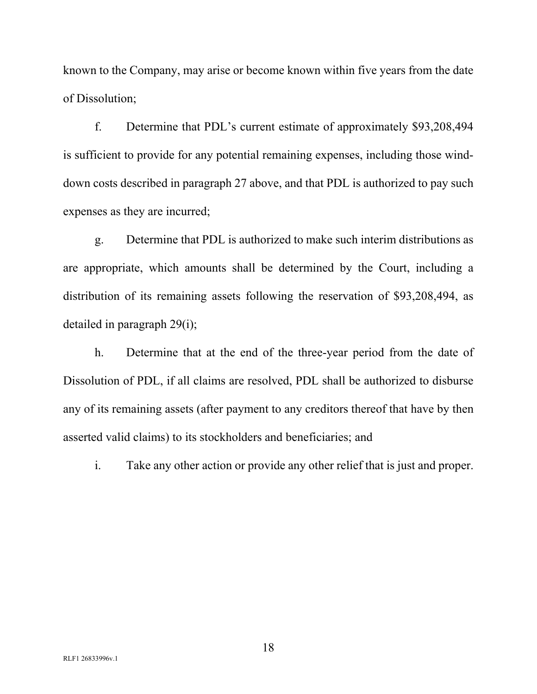known to the Company, may arise or become known within five years from the date of Dissolution;

f. Determine that PDL's current estimate of approximately \$93,208,494 is sufficient to provide for any potential remaining expenses, including those winddown costs described in paragraph 27 above, and that PDL is authorized to pay such expenses as they are incurred;

g. Determine that PDL is authorized to make such interim distributions as are appropriate, which amounts shall be determined by the Court, including a distribution of its remaining assets following the reservation of \$93,208,494, as detailed in paragraph 29(i);

h. Determine that at the end of the three-year period from the date of Dissolution of PDL, if all claims are resolved, PDL shall be authorized to disburse any of its remaining assets (after payment to any creditors thereof that have by then asserted valid claims) to its stockholders and beneficiaries; and

i. Take any other action or provide any other relief that is just and proper.